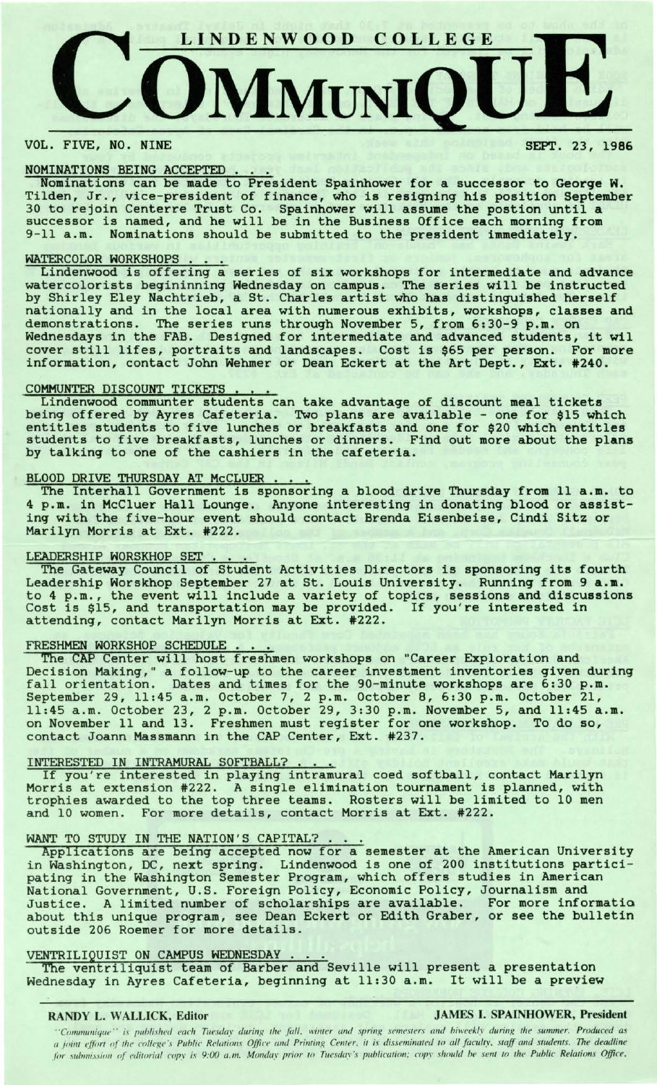

### VOL. FIVE, NO. NINE

### SEPT. 23, 1986

### NOMINATIONS BEING ACCEPTED

Nominations can be made to President Spainhower for a successor to George H. Tilden, Jr., vice-president of finance, who is resigning his position September 30 to rejoin Centerre Trust Co. Spainhower will assume the postion until a successor is named, and he will be in the Business Office each morning from 9-11 a.m. Nominations should be submitted to the president immediately.

### WATERCOLOR WORKSHOPS

Lindenwood is offering a series of six workshops for intermediate and advance watercolorists begininning Wednesday on campus. The series will be instructed by Shirley Eley Nachtrieb, a St. Charles artist who has distinguished herself nationally and in the local area with numerous exhibits, workshops, classes and demonstrations. The series runs through November 5, from 6:30-9 p.m. on Wednesdays in the FAB. Designed for intermediate and advanced students, it wil cover still lifes, portraits and landscapes. Cost is \$65 per person. For more information, contact John Wehmer or Dean Eckert at the Art Dept., Ext. #240.

### COMMUNTER DISCOUNT TICKETS

Lindenwood communter students can take advantage of discount meal tickets being offered by Ayres Cafeteria. Two plans are available - one for \$15 which entitles students to five lunches or breakfasts and one for \$20 which entitles students to five breakfasts, lunches or dinners. Find out more about the **plans**  by talking to one of the cashiers in the cafeteria.

BLOOD DRIVE THURSDAY AT McCLUER. · The Interhall Government is sponsoring a blood drive Thursday from 11 **a.m.** to 4 p.m. in McCluer Hall Lounge. Anyone interesting in donating blood or **assist**ing with the five-hour event should contact Brenda Eisenbeise, Cindi Sitz or Marilyn Morris at Ext. #222.

LEADERSHIP WORSKHOP SET ... The Gateway Council of Student Activities Directors is sponsoring its fourth Leadership Worskhop September 27 at St. Louis University. Running from 9 **a.m.**  to 4 p.m., the event will include a variety of topics, sessions and discussions Cost is \$15, and transportation may be provided. If you're interested in attending, contact Marilyn Morris at Ext. #222.

## FRESHMEN WORKSHOP SCHEDULE . . .

The CAP Center will host freshmen workshops on "Career Exploration and Decision Making," a follow-up to the career investment inventories given during becision making, a fortow up to the career investment inventories given during the fall orientation. Dates and times for the 90-minute workshops are 6:30 p.m. September 29, 11:45 a.m. October 7, 2 p.m. October 8, 6:30 p.m. October 21, 11:45 a.m. October 23, 2 p.m. October 29, 3:30 p.m. November 5, and 11:45 a.m. on November 11 and 13. Freshmen must register for one workshop. To do so, contact Joann Massmann in the CAP Center, Ext. #237.

INTERESTED IN INTRAMURAL SOFTBALL? ...<br>If you're interested in playing intramural coed softball, contact Marilyn Morris at extension #222. A single elimination tournament is planned, with morris at extension #222. A single efficiation cournament is planned, with<br>trophies awarded to the top three teams. Rosters will be limited to 10 men and 10 women. For more details, contact Morris at Ext. #222.

### WANT TO STUDY IN THE NATION'S CAPITAL?

Applications are being accepted now for a semester at the American University in Washington , DC, next spring. Lindenwood is one of 200 institutions partici- pating in the Washington Semester Program, which offers studies in American National Government, U.S. Foreign Policy, Economic Policy, Journalism and Justice. A limited number of scholarships are available. For more informatia about this unique program, see Dean Eckert or Edith Graber, or see the bulletin outside 206 Roemer for more details.

VENTRILIQUIST ON CAMPUS WEDNESDAY . . . . . . . . . The ventriliquist team of Barber and Seville will present a presentation Wednesday in Ayres Cafeteria, beginning at 11:30 a.m. It will be a preyiew

**RANDY L. WALLICK, Editor JAMES** I. **SPAINHOWER, President** 

''Communique'' is published each Tuesday during the fall, winter and spring semesters and biweekly during the summer. Produced as  $a$  joint effort of the college's Public Relations Office and Printing Center, it is disseminated to all faculty, staff and students. The deadline for submission of editorial copy is 9:00 a.m. Monday prior to Tuesday's publication; copy should be sent to the Public Relations Office,